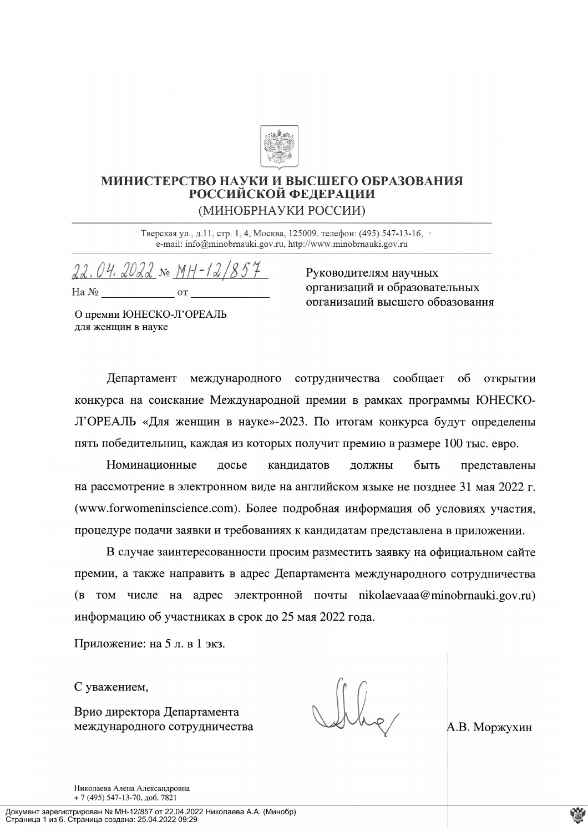

# МИНИСТЕРСТВО НАУКИ И ВЫСШЕГО ОБРАЗОВАНИЯ РОССИЙСКОЙ ФЕДЕРАЦИИ (МИНОБРНАУКИ РОССИИ)

Тверская ул., д.11, стр. 1, 4, Москва, 125009, телефон: (495) 547-13-16, e-mail: info@minobrnauki.gov.ru, http://www.minobrnauki.gov.ru

 $22.04.2022 \times MH - 12/854$  $Ha N<sub>2</sub>$  or

Руководителям научных организаций и образовательных организаций высшего образования

О премии ЮНЕСКО-Л'ОРЕАЛЬ для женщин в науке

Департамент международного сотрудничества сообщает об открытии конкурса на соискание Международной премии в рамках программы ЮНЕСКО-Л'ОРЕАЛЬ «Для женщин в науке»-2023. По итогам конкурса будут определены пять победительниц, каждая из которых получит премию в размере 100 тыс. евро.

Номинационные должны досье кандидатов быть представлены на рассмотрение в электронном виде на английском языке не позднее 31 мая 2022 г. (www.forwomeninscience.com). Более подробная информация об условиях участия, процедуре подачи заявки и требованиях к кандидатам представлена в приложении.

В случае заинтересованности просим разместить заявку на официальном сайте премии, а также направить в адрес Департамента международного сотрудничества (в том числе на адрес электронной почты nikolaevaaa@minobrnauki.gov.ru) информацию об участниках в срок до 25 мая 2022 года.

Приложение: на 5 л. в 1 экз.

С уважением,

Врио директора Департамента международного сотрудничества

А.В. Моржухин

Николаева Алена Александровна  $+7(495)$  547-13-70,  $\pi$ 06, 7821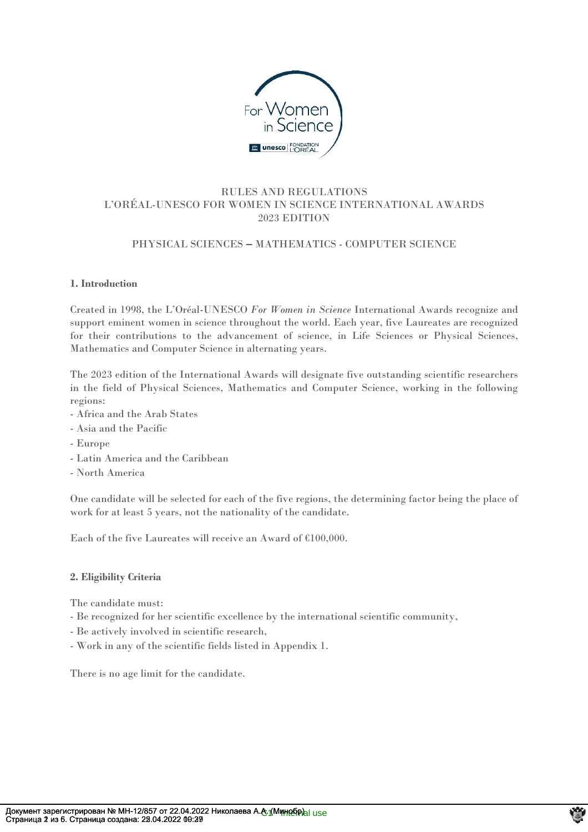

# RULES AND REGULATIONS L'ORÉAL-UNESCO FOR WOMEN IN SCIENCE INTERNATIONAL AWARDS 2023 EDITION

# PHYSICAL SCIENCES **–** MATHEMATICS - COMPUTER SCIENCE

# **1. Introduction**

Created in 1998, the L'Oréal-UNESCO *For Women in Science* International Awards recognize and support eminent women in science throughout the world. Each year, five Laureates are recognized for their contributions to the advancement of science, in Life Sciences or Physical Sciences, Mathematics and Computer Science in alternating years.

The 2023 edition of the International Awards will designate five outstanding scientific researchers in the field of Physical Sciences, Mathematics and Computer Science, working in the following regions:

- Africa and the Arab States
- Asia and the Pacific
- Europe
- Latin America and the Caribbean
- North America

One candidate will be selected for each of the five regions, the determining factor being the place of work for at least 5 years, not the nationality of the candidate.

Each of the five Laureates will receive an Award of €100,000.

#### **2. Eligibility Criteria**

The candidate must:

- Be recognized for her scientific excellence by the international scientific community,
- Be actively involved in scientific research,
- Work in any of the scientific fields listed in Appendix 1.

There is no age limit for the candidate.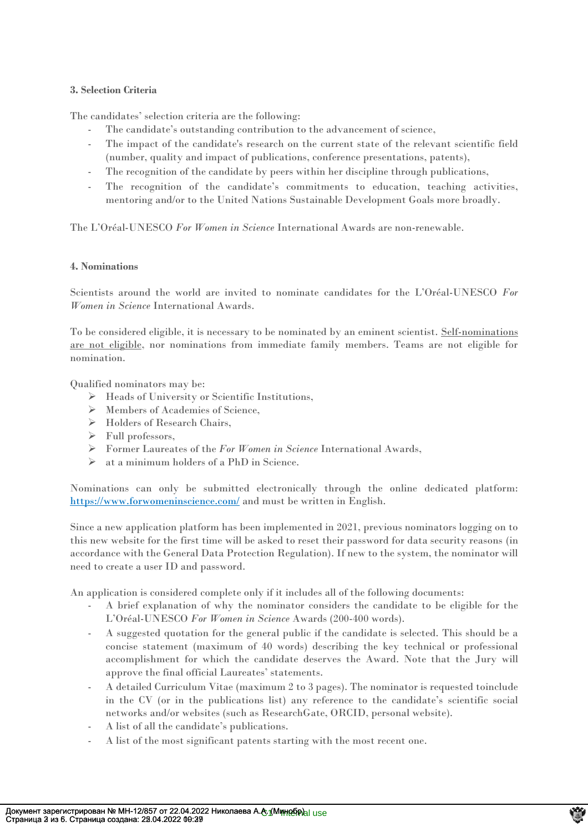### **3. Selection Criteria**

The candidates' selection criteria are the following:

- The candidate's outstanding contribution to the advancement of science,
- The impact of the candidate's research on the current state of the relevant scientific field (number, quality and impact of publications, conference presentations, patents),
- The recognition of the candidate by peers within her discipline through publications,
- The recognition of the candidate's commitments to education, teaching activities, mentoring and/or to the United Nations Sustainable Development Goals more broadly.

The L'Oréal-UNESCO *For Women in Science* International Awards are non-renewable.

### **4. Nominations**

Scientists around the world are invited to nominate candidates for the L'Oréal-UNESCO *For Women in Science* International Awards.

To be considered eligible, it is necessary to be nominated by an eminent scientist. Self-nominations are not eligible, nor nominations from immediate family members. Teams are not eligible for nomination.

Qualified nominators may be:

- ➢ Heads of University or Scientific Institutions,
- ➢ Members of Academies of Science,
- ➢ Holders of Research Chairs,
- ➢ Full professors,
- ➢ Former Laureates of the *For Women in Science* International Awards,
- ➢ at a minimum holders of a PhD in Science.

Nominations can only be submitted electronically through the online dedicated platform: [https://www.forwomeninscience.com/](https://www.forwomeninscience.com/challenge/show/43) and must be written in English.

Since a new application platform has been implemented in 2021, previous nominators logging on to this new website for the first time will be asked to reset their password for data security reasons (in accordance with the General Data Protection Regulation). If new to the system, the nominator will need to create a user ID and password.

An application is considered complete only if it includes all of the following documents:

- A brief explanation of why the nominator considers the candidate to be eligible for the L'Oréal-UNESCO *For Women in Science* Awards (200-400 words).
- A suggested quotation for the general public if the candidate is selected. This should be a concise statement (maximum of 40 words) describing the key technical or professional accomplishment for which the candidate deserves the Award. Note that the Jury will approve the final official Laureates' statements.
- A detailed Curriculum Vitae (maximum 2 to 3 pages). The nominator is requested toinclude in the CV (or in the publications list) any reference to the candidate's scientific social networks and/or websites (such as ResearchGate, ORCID, personal website).
- A list of all the candidate's publications.
- A list of the most significant patents starting with the most recent one.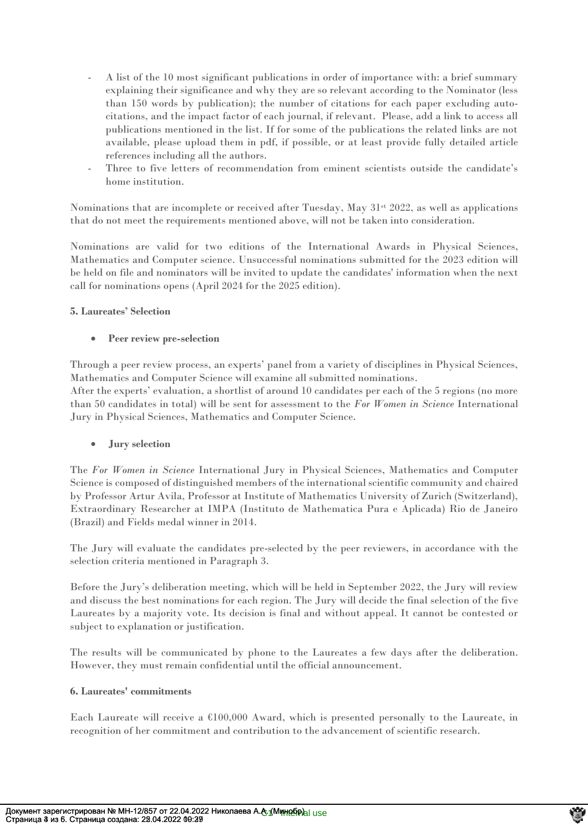- A list of the 10 most significant publications in order of importance with: a brief summary explaining their significance and why they are so relevant according to the Nominator (less than 150 words by publication); the number of citations for each paper excluding autocitations, and the impact factor of each journal, if relevant. Please, add a link to access all publications mentioned in the list. If for some of the publications the related links are not available, please upload them in pdf, if possible, or at least provide fully detailed article references including all the authors.
- Three to five letters of recommendation from eminent scientists outside the candidate's home institution.

Nominations that are incomplete or received after Tuesday, May  $31<sup>st</sup> 2022$ , as well as applications that do not meet the requirements mentioned above, will not be taken into consideration.

Nominations are valid for two editions of the International Awards in Physical Sciences, Mathematics and Computer science. Unsuccessful nominations submitted for the 2023 edition will be held on file and nominators will be invited to update the candidates' information when the next call for nominations opens (April 2024 for the 2025 edition).

# **5. Laureates' Selection**

# • **Peer review pre-selection**

Through a peer review process, an experts' panel from a variety of disciplines in Physical Sciences, Mathematics and Computer Science will examine all submitted nominations.

After the experts' evaluation, a shortlist of around 10 candidates per each of the 5 regions (no more than 50 candidates in total) will be sent for assessment to the *For Women in Science* International Jury in Physical Sciences, Mathematics and Computer Science.

# • **Jury selection**

The *For Women in Science* International Jury in Physical Sciences, Mathematics and Computer Science is composed of distinguished members of the international scientific community and chaired by Professor Artur Avila, Professor at Institute of Mathematics University of Zurich (Switzerland), Extraordinary Researcher at IMPA (Instituto de Mathematica Pura e Aplicada) Rio de Janeiro (Brazil) and Fields medal winner in 2014.

The Jury will evaluate the candidates pre-selected by the peer reviewers, in accordance with the selection criteria mentioned in Paragraph 3.

Before the Jury's deliberation meeting, which will be held in September 2022, the Jury will review and discuss the best nominations for each region. The Jury will decide the final selection of the five Laureates by a majority vote. Its decision is final and without appeal. It cannot be contested or subject to explanation or justification.

The results will be communicated by phone to the Laureates a few days after the deliberation. However, they must remain confidential until the official announcement.

#### **6. Laureates' commitments**

Each Laureate will receive a €100,000 Award, which is presented personally to the Laureate, in recognition of her commitment and contribution to the advancement of scientific research.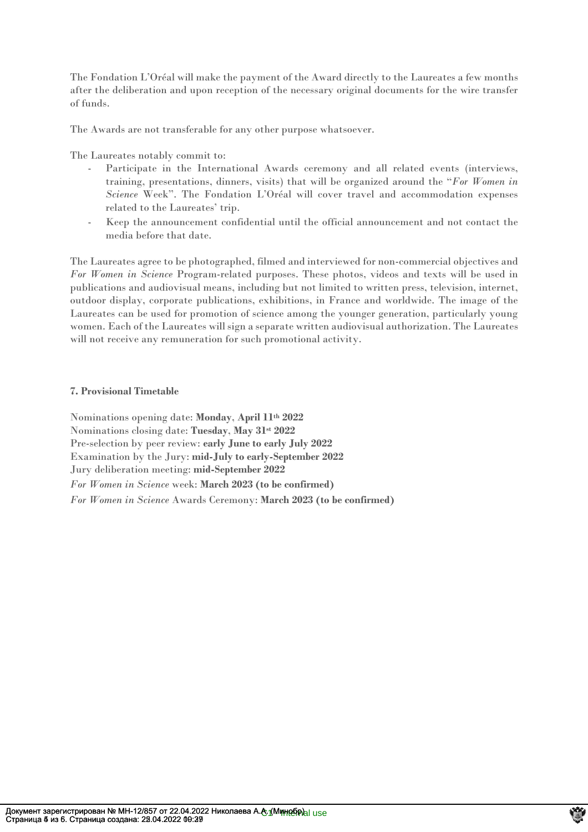The Fondation L'Oréal will make the payment of the Award directly to the Laureates a few months after the deliberation and upon reception of the necessary original documents for the wire transfer of funds.

The Awards are not transferable for any other purpose whatsoever.

The Laureates notably commit to:

- Participate in the International Awards ceremony and all related events (interviews, training, presentations, dinners, visits) that will be organized around the "*For Women in Science* Week". The Fondation L'Oréal will cover travel and accommodation expenses related to the Laureates' trip.
- Keep the announcement confidential until the official announcement and not contact the media before that date.

The Laureates agree to be photographed, filmed and interviewed for non-commercial objectives and *For Women in Science* Program-related purposes. These photos, videos and texts will be used in publications and audiovisual means, including but not limited to written press, television, internet, outdoor display, corporate publications, exhibitions, in France and worldwide. The image of the Laureates can be used for promotion of science among the younger generation, particularly young women. Each of the Laureates will sign a separate written audiovisual authorization. The Laureates will not receive any remuneration for such promotional activity.

# **7. Provisional Timetable**

Nominations opening date: **Monday**, **April 11th 2022** Nominations closing date: **Tuesday**, **May 31st 2022** Pre-selection by peer review: **early June to early July 2022** Examination by the Jury: **mid-July to early-September 2022** Jury deliberation meeting: **mid-September 2022** *For Women in Science* week: **March 2023 (to be confirmed)** *For Women in Science* Awards Ceremony: **March 2023 (to be confirmed)**